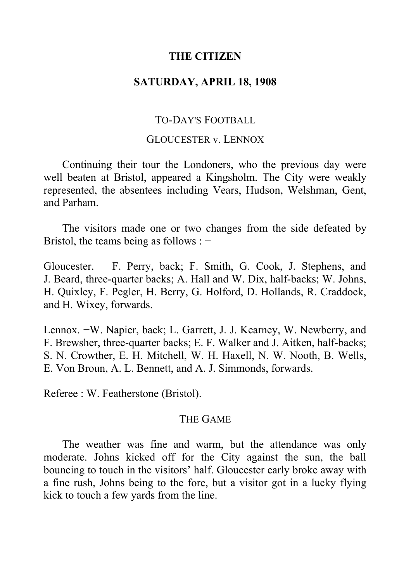## **THE CITIZEN**

## **SATURDAY, APRIL 18, 1908**

# TO-DAY'S FOOTBALL

### GLOUCESTER v. LENNOX

Continuing their tour the Londoners, who the previous day were well beaten at Bristol, appeared a Kingsholm. The City were weakly represented, the absentees including Vears, Hudson, Welshman, Gent, and Parham.

The visitors made one or two changes from the side defeated by Bristol, the teams being as follows : −

Gloucester. − F. Perry, back; F. Smith, G. Cook, J. Stephens, and J. Beard, three-quarter backs; A. Hall and W. Dix, half-backs; W. Johns, H. Quixley, F. Pegler, H. Berry, G. Holford, D. Hollands, R. Craddock, and H. Wixey, forwards.

Lennox. −W. Napier, back; L. Garrett, J. J. Kearney, W. Newberry, and F. Brewsher, three-quarter backs; E. F. Walker and J. Aitken, half-backs; S. N. Crowther, E. H. Mitchell, W. H. Haxell, N. W. Nooth, B. Wells, E. Von Broun, A. L. Bennett, and A. J. Simmonds, forwards.

Referee : W. Featherstone (Bristol).

#### THE GAME

The weather was fine and warm, but the attendance was only moderate. Johns kicked off for the City against the sun, the ball bouncing to touch in the visitors' half. Gloucester early broke away with a fine rush, Johns being to the fore, but a visitor got in a lucky flying kick to touch a few yards from the line.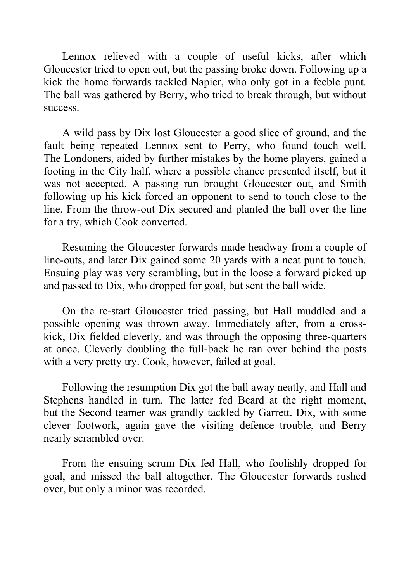Lennox relieved with a couple of useful kicks, after which Gloucester tried to open out, but the passing broke down. Following up a kick the home forwards tackled Napier, who only got in a feeble punt. The ball was gathered by Berry, who tried to break through, but without success.

A wild pass by Dix lost Gloucester a good slice of ground, and the fault being repeated Lennox sent to Perry, who found touch well. The Londoners, aided by further mistakes by the home players, gained a footing in the City half, where a possible chance presented itself, but it was not accepted. A passing run brought Gloucester out, and Smith following up his kick forced an opponent to send to touch close to the line. From the throw-out Dix secured and planted the ball over the line for a try, which Cook converted.

Resuming the Gloucester forwards made headway from a couple of line-outs, and later Dix gained some 20 yards with a neat punt to touch. Ensuing play was very scrambling, but in the loose a forward picked up and passed to Dix, who dropped for goal, but sent the ball wide.

On the re-start Gloucester tried passing, but Hall muddled and a possible opening was thrown away. Immediately after, from a crosskick, Dix fielded cleverly, and was through the opposing three-quarters at once. Cleverly doubling the full-back he ran over behind the posts with a very pretty try. Cook, however, failed at goal.

Following the resumption Dix got the ball away neatly, and Hall and Stephens handled in turn. The latter fed Beard at the right moment, but the Second teamer was grandly tackled by Garrett. Dix, with some clever footwork, again gave the visiting defence trouble, and Berry nearly scrambled over.

From the ensuing scrum Dix fed Hall, who foolishly dropped for goal, and missed the ball altogether. The Gloucester forwards rushed over, but only a minor was recorded.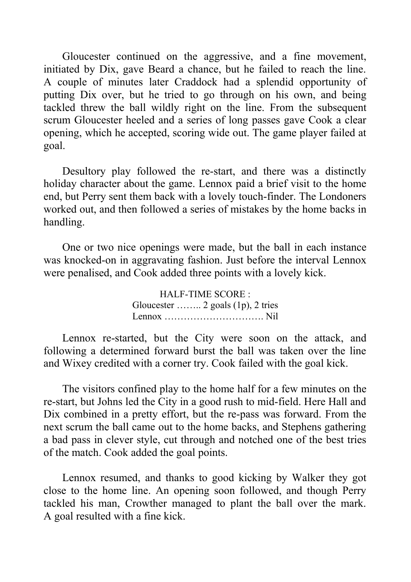Gloucester continued on the aggressive, and a fine movement, initiated by Dix, gave Beard a chance, but he failed to reach the line. A couple of minutes later Craddock had a splendid opportunity of putting Dix over, but he tried to go through on his own, and being tackled threw the ball wildly right on the line. From the subsequent scrum Gloucester heeled and a series of long passes gave Cook a clear opening, which he accepted, scoring wide out. The game player failed at goal.

Desultory play followed the re-start, and there was a distinctly holiday character about the game. Lennox paid a brief visit to the home end, but Perry sent them back with a lovely touch-finder. The Londoners worked out, and then followed a series of mistakes by the home backs in handling.

One or two nice openings were made, but the ball in each instance was knocked-on in aggravating fashion. Just before the interval Lennox were penalised, and Cook added three points with a lovely kick.

> HALF-TIME SCORE : Gloucester …….. 2 goals (1p), 2 tries Lennox …………………………. Nil

Lennox re-started, but the City were soon on the attack, and following a determined forward burst the ball was taken over the line and Wixey credited with a corner try. Cook failed with the goal kick.

The visitors confined play to the home half for a few minutes on the re-start, but Johns led the City in a good rush to mid-field. Here Hall and Dix combined in a pretty effort, but the re-pass was forward. From the next scrum the ball came out to the home backs, and Stephens gathering a bad pass in clever style, cut through and notched one of the best tries of the match. Cook added the goal points.

Lennox resumed, and thanks to good kicking by Walker they got close to the home line. An opening soon followed, and though Perry tackled his man, Crowther managed to plant the ball over the mark. A goal resulted with a fine kick.